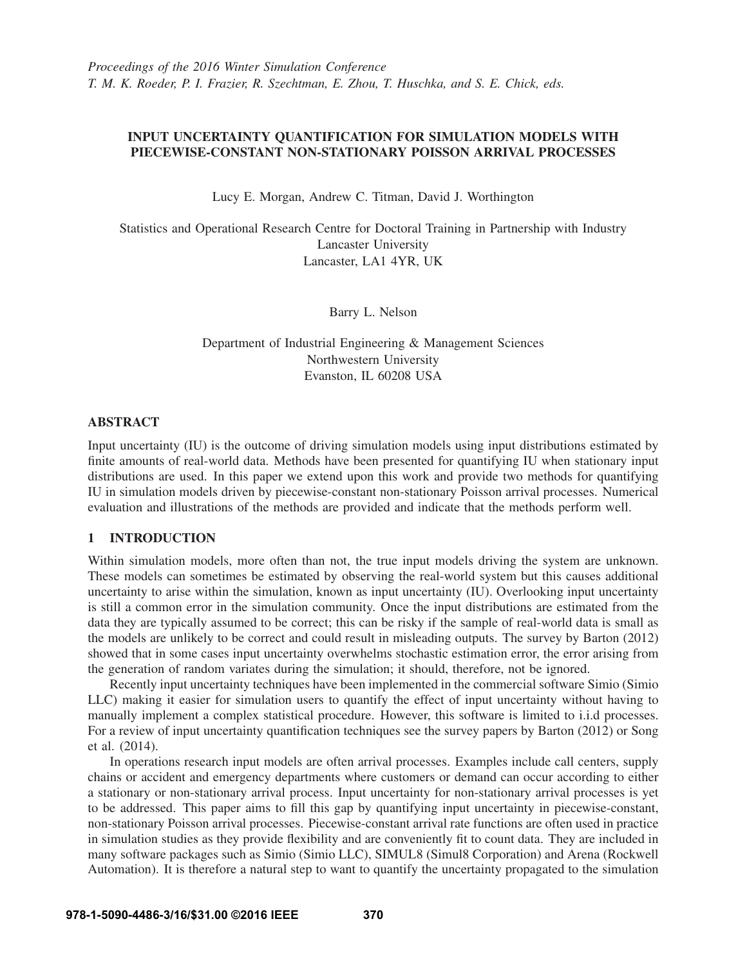# INPUT UNCERTAINTY QUANTIFICATION FOR SIMULATION MODELS WITH PIECEWISE-CONSTANT NON-STATIONARY POISSON ARRIVAL PROCESSES

Lucy E. Morgan, Andrew C. Titman, David J. Worthington

Statistics and Operational Research Centre for Doctoral Training in Partnership with Industry Lancaster University Lancaster, LA1 4YR, UK

Barry L. Nelson

Department of Industrial Engineering & Management Sciences Northwestern University Evanston, IL 60208 USA

## ABSTRACT

Input uncertainty (IU) is the outcome of driving simulation models using input distributions estimated by finite amounts of real-world data. Methods have been presented for quantifying IU when stationary input distributions are used. In this paper we extend upon this work and provide two methods for quantifying IU in simulation models driven by piecewise-constant non-stationary Poisson arrival processes. Numerical evaluation and illustrations of the methods are provided and indicate that the methods perform well.

## 1 INTRODUCTION

Within simulation models, more often than not, the true input models driving the system are unknown. These models can sometimes be estimated by observing the real-world system but this causes additional uncertainty to arise within the simulation, known as input uncertainty (IU). Overlooking input uncertainty is still a common error in the simulation community. Once the input distributions are estimated from the data they are typically assumed to be correct; this can be risky if the sample of real-world data is small as the models are unlikely to be correct and could result in misleading outputs. The survey by Barton (2012) showed that in some cases input uncertainty overwhelms stochastic estimation error, the error arising from the generation of random variates during the simulation; it should, therefore, not be ignored.

Recently input uncertainty techniques have been implemented in the commercial software Simio (Simio LLC) making it easier for simulation users to quantify the effect of input uncertainty without having to manually implement a complex statistical procedure. However, this software is limited to i.i.d processes. For a review of input uncertainty quantification techniques see the survey papers by Barton (2012) or Song et al. (2014).

In operations research input models are often arrival processes. Examples include call centers, supply chains or accident and emergency departments where customers or demand can occur according to either a stationary or non-stationary arrival process. Input uncertainty for non-stationary arrival processes is yet to be addressed. This paper aims to fill this gap by quantifying input uncertainty in piecewise-constant, non-stationary Poisson arrival processes. Piecewise-constant arrival rate functions are often used in practice in simulation studies as they provide flexibility and are conveniently fit to count data. They are included in many software packages such as Simio (Simio LLC), SIMUL8 (Simul8 Corporation) and Arena (Rockwell Automation). It is therefore a natural step to want to quantify the uncertainty propagated to the simulation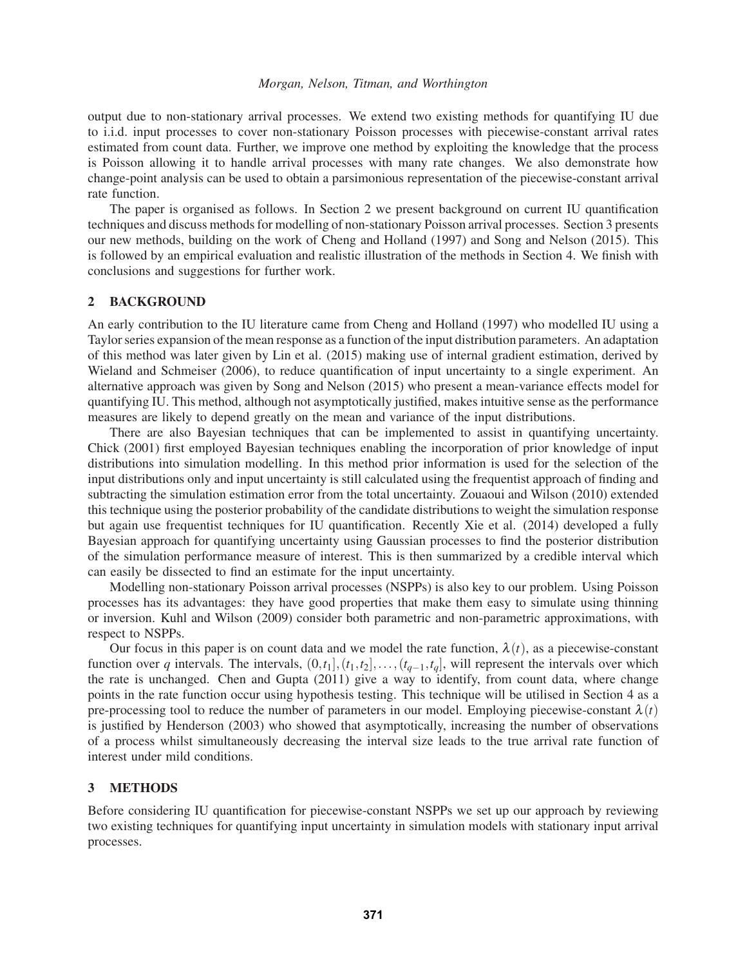output due to non-stationary arrival processes. We extend two existing methods for quantifying IU due to i.i.d. input processes to cover non-stationary Poisson processes with piecewise-constant arrival rates estimated from count data. Further, we improve one method by exploiting the knowledge that the process is Poisson allowing it to handle arrival processes with many rate changes. We also demonstrate how change-point analysis can be used to obtain a parsimonious representation of the piecewise-constant arrival rate function.

The paper is organised as follows. In Section 2 we present background on current IU quantification techniques and discuss methods for modelling of non-stationary Poisson arrival processes. Section 3 presents our new methods, building on the work of Cheng and Holland (1997) and Song and Nelson (2015). This is followed by an empirical evaluation and realistic illustration of the methods in Section 4. We finish with conclusions and suggestions for further work.

## 2 BACKGROUND

An early contribution to the IU literature came from Cheng and Holland (1997) who modelled IU using a Taylor series expansion of the mean response as a function of the input distribution parameters. An adaptation of this method was later given by Lin et al. (2015) making use of internal gradient estimation, derived by Wieland and Schmeiser (2006), to reduce quantification of input uncertainty to a single experiment. An alternative approach was given by Song and Nelson (2015) who present a mean-variance effects model for quantifying IU. This method, although not asymptotically justified, makes intuitive sense as the performance measures are likely to depend greatly on the mean and variance of the input distributions.

There are also Bayesian techniques that can be implemented to assist in quantifying uncertainty. Chick (2001) first employed Bayesian techniques enabling the incorporation of prior knowledge of input distributions into simulation modelling. In this method prior information is used for the selection of the input distributions only and input uncertainty is still calculated using the frequentist approach of finding and subtracting the simulation estimation error from the total uncertainty. Zouaoui and Wilson (2010) extended this technique using the posterior probability of the candidate distributions to weight the simulation response but again use frequentist techniques for IU quantification. Recently Xie et al. (2014) developed a fully Bayesian approach for quantifying uncertainty using Gaussian processes to find the posterior distribution of the simulation performance measure of interest. This is then summarized by a credible interval which can easily be dissected to find an estimate for the input uncertainty.

Modelling non-stationary Poisson arrival processes (NSPPs) is also key to our problem. Using Poisson processes has its advantages: they have good properties that make them easy to simulate using thinning or inversion. Kuhl and Wilson (2009) consider both parametric and non-parametric approximations, with respect to NSPPs.

Our focus in this paper is on count data and we model the rate function,  $\lambda(t)$ , as a piecewise-constant function over *q* intervals. The intervals,  $(0,t_1], (t_1,t_2], \ldots, (t_{q-1},t_q]$ , will represent the intervals over which the rate is unchanged. Chen and Gupta (2011) give a way to identify, from count data, where change points in the rate function occur using hypothesis testing. This technique will be utilised in Section 4 as a pre-processing tool to reduce the number of parameters in our model. Employing piecewise-constant  $\lambda(t)$ is justified by Henderson (2003) who showed that asymptotically, increasing the number of observations of a process whilst simultaneously decreasing the interval size leads to the true arrival rate function of interest under mild conditions.

# 3 METHODS

Before considering IU quantification for piecewise-constant NSPPs we set up our approach by reviewing two existing techniques for quantifying input uncertainty in simulation models with stationary input arrival processes.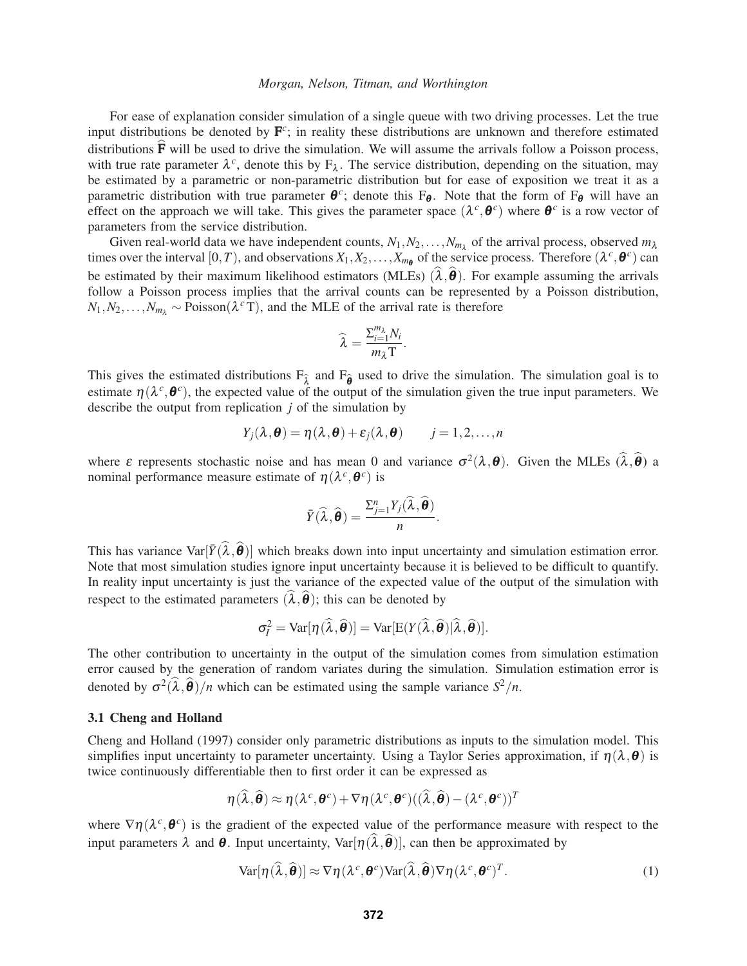For ease of explanation consider simulation of a single queue with two driving processes. Let the true input distributions be denoted by F*c*; in reality these distributions are unknown and therefore estimated distributions F will be used to drive the simulation. We will assume the arrivals follow a Poisson process, with true rate parameter  $\lambda^c$ , denote this by  $F_\lambda$ . The service distribution, depending on the situation, may be estimated by a parametric or non-parametric distribution but for ease of exposition we treat it as a parametric distribution with true parameter  $\theta^c$ ; denote this F<sub> $\theta$ </sub>. Note that the form of F<sub> $\theta$ </sub> will have an effect on the approach we will take. This gives the parameter space  $(\lambda^c, \theta^c)$  where  $\theta^c$  is a row vector of parameters from the service distribution.

Given real-world data we have independent counts,  $N_1, N_2, \ldots, N_{m_\lambda}$  of the arrival process, observed  $m_\lambda$ times over the interval  $[0,T)$ , and observations  $X_1, X_2, \ldots, X_{m_\theta}$  of the service process. Therefore  $(\lambda^c, \theta^c)$  can be estimated by their maximum likelihood estimators (MLEs)  $(\lambda, \theta)$ . For example assuming the arrivals follow a Poisson process implies that the arrival counts can be represented by a Poisson distribution,  $N_1, N_2, \ldots, N_{m_\lambda} \sim \text{Poisson}(\lambda^c T)$ , and the MLE of the arrival rate is therefore

$$
\widehat{\lambda} = \frac{\sum_{i=1}^{m_{\lambda}} N_i}{m_{\lambda} T}.
$$

This gives the estimated distributions  $F_{\hat{\theta}}$  and  $F_{\hat{\theta}}$  used to drive the simulation. The simulation goal is to estimate  $\eta(\lambda^c, \theta^c)$ , the expected value of the output of the simulation given the true input parameters. We describe the output from replication *j* of the simulation by

$$
Y_j(\lambda, \boldsymbol{\theta}) = \eta(\lambda, \boldsymbol{\theta}) + \varepsilon_j(\lambda, \boldsymbol{\theta})
$$
  $j = 1, 2, ..., n$ 

where  $\varepsilon$  represents stochastic noise and has mean 0 and variance  $\sigma^2(\lambda, \theta)$ . Given the MLEs  $(\lambda, \hat{\theta})$  a nominal performance measure estimate of  $\eta(\lambda^c, \theta^c)$  is

$$
\bar{Y}(\widehat{\lambda},\widehat{\boldsymbol{\theta}})=\frac{\Sigma_{j=1}^n Y_j(\widehat{\lambda},\widehat{\boldsymbol{\theta}})}{n}.
$$

This has variance  $\text{Var}[\bar{Y}(\hat{\lambda}, \hat{\theta})]$  which breaks down into input uncertainty and simulation estimation error. Note that most simulation studies ignore input uncertainty because it is believed to be difficult to quantify. In reality input uncertainty is just the variance of the expected value of the output of the simulation with respect to the estimated parameters  $(\lambda, \theta)$ ; this can be denoted by

$$
\sigma_I^2 = \text{Var}[\eta(\widehat{\lambda}, \widehat{\boldsymbol{\theta}})] = \text{Var}[\text{E}(Y(\widehat{\lambda}, \widehat{\boldsymbol{\theta}})|\widehat{\lambda}, \widehat{\boldsymbol{\theta}})].
$$

The other contribution to uncertainty in the output of the simulation comes from simulation estimation error caused by the generation of random variates during the simulation. Simulation estimation error is denoted by  $\sigma^2(\hat{\lambda}, \hat{\theta})/n$  which can be estimated using the sample variance  $S^2/n$ .

### 3.1 Cheng and Holland

Cheng and Holland (1997) consider only parametric distributions as inputs to the simulation model. This simplifies input uncertainty to parameter uncertainty. Using a Taylor Series approximation, if  $\eta(\lambda,\theta)$  is twice continuously differentiable then to first order it can be expressed as

$$
\eta(\widehat{\lambda},\widehat{\boldsymbol{\theta}}) \approx \eta(\lambda^c,\boldsymbol{\theta}^c) + \nabla \eta(\lambda^c,\boldsymbol{\theta}^c)((\widehat{\lambda},\widehat{\boldsymbol{\theta}}) - (\lambda^c,\boldsymbol{\theta}^c))^T
$$

where  $\nabla \eta(\lambda^c, \theta^c)$  is the gradient of the expected value of the performance measure with respect to the input parameters  $\lambda$  and  $\theta$ . Input uncertainty,  $Var[\eta(\lambda, \theta)]$ , can then be approximated by

$$
\text{Var}[\eta(\widehat{\lambda},\widehat{\boldsymbol{\theta}})] \approx \nabla \eta(\lambda^c, \boldsymbol{\theta}^c) \text{Var}(\widehat{\lambda},\widehat{\boldsymbol{\theta}}) \nabla \eta(\lambda^c, \boldsymbol{\theta}^c)^T. \tag{1}
$$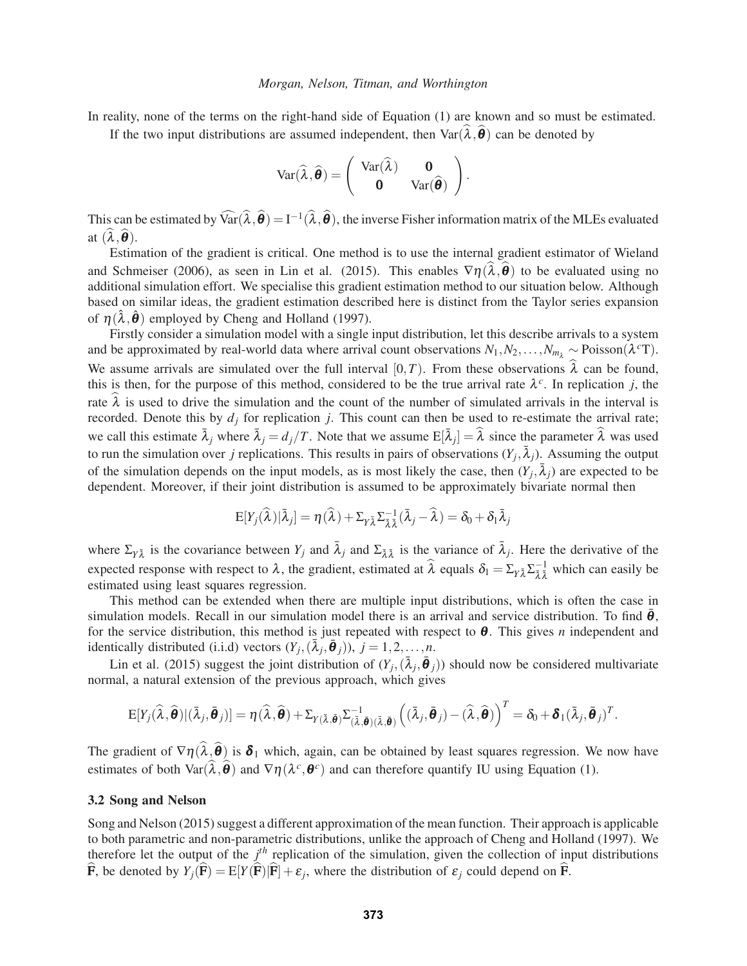In reality, none of the terms on the right-hand side of Equation (1) are known and so must be estimated.

If the two input distributions are assumed independent, then  $Var(\lambda, \theta)$  can be denoted by

$$
\text{Var}(\widehat{\lambda}, \widehat{\pmb{\theta}}) = \left( \begin{array}{cc} \text{Var}(\widehat{\lambda}) & \pmb{0} \\ \pmb{0} & \text{Var}(\widehat{\pmb{\theta}}) \end{array} \right).
$$

This can be estimated by  $\widehat{\text{Var}}(\lambda, \widehat{\boldsymbol{\theta}}) = I^{-1}(\lambda, \widehat{\boldsymbol{\theta}})$ , the inverse Fisher information matrix of the MLEs evaluated at  $(\lambda, \boldsymbol{\theta})$ .

Estimation of the gradient is critical. One method is to use the internal gradient estimator of Wieland and Schmeiser (2006), as seen in Lin et al. (2015). This enables  $\nabla \eta(\lambda, \theta)$  to be evaluated using no additional simulation effort. We specialise this gradient estimation method to our situation below. Although based on similar ideas, the gradient estimation described here is distinct from the Taylor series expansion of  $\eta(\hat{\lambda}, \hat{\theta})$  employed by Cheng and Holland (1997).

Firstly consider a simulation model with a single input distribution, let this describe arrivals to a system and be approximated by real-world data where arrival count observations  $N_1, N_2, \ldots, N_{m_1} \sim \text{Poisson}(\lambda^c T)$ . We assume arrivals are simulated over the full interval  $[0, T)$ . From these observations  $\lambda$  can be found, this is then, for the purpose of this method, considered to be the true arrival rate  $\lambda^c$ . In replication *j*, the rate  $\lambda$  is used to drive the simulation and the count of the number of simulated arrivals in the interval is recorded. Denote this by  $d_i$  for replication  $j$ . This count can then be used to re-estimate the arrival rate; we call this estimate  $\bar{\lambda}_j$  where  $\bar{\lambda}_j = d_j/T$ . Note that we assume  $E[\bar{\lambda}_j] = \hat{\lambda}$  since the parameter  $\hat{\lambda}$  was used to run the simulation over *j* replications. This results in pairs of observations  $(Y_j, \bar{\lambda}_j)$ . Assuming the output of the simulation depends on the input models, as is most likely the case, then  $(Y_j, \bar{\lambda}_j)$  are expected to be dependent. Moreover, if their joint distribution is assumed to be approximately bivariate normal then

$$
E[Y_j(\widehat{\lambda})|\overline{\lambda}_j] = \eta(\widehat{\lambda}) + \Sigma_{Y\overline{\lambda}}\Sigma_{\overline{\lambda}\overline{\lambda}}^{-1}(\overline{\lambda}_j - \widehat{\lambda}) = \delta_0 + \delta_1\overline{\lambda}_j
$$

where  $\Sigma_{Y\bar{\lambda}}$  is the covariance between  $Y_j$  and  $\bar{\lambda}_j$  and  $\Sigma_{\bar{\lambda}\bar{\lambda}}$  is the variance of  $\bar{\lambda}_j$ . Here the derivative of the expected response with respect to  $\lambda$ , the gradient, estimated at  $\hat{\lambda}$  equals  $\delta_1 = \sum_{\chi} \sum_{\bar{\lambda}}^{-1}$  which can easily be estimated using least squares regression.

This method can be extended when there are multiple input distributions, which is often the case in simulation models. Recall in our simulation model there is an arrival and service distribution. To find  $\bar{\theta}$ , for the service distribution, this method is just repeated with respect to  $\theta$ . This gives *n* independent and identically distributed (i.i.d) vectors  $(Y_j, (\overline{\lambda}_j, \overline{\theta}_j))$ ,  $j = 1, 2, ..., n$ .

Lin et al. (2015) suggest the joint distribution of  $(Y_j, (\bar{\lambda}_j, \bar{\theta}_j))$  should now be considered multivariate normal, a natural extension of the previous approach, which gives

$$
\mathrm{E}[Y_j(\widehat{\lambda},\widehat{\boldsymbol{\theta}})|(\bar{\lambda}_j,\bar{\boldsymbol{\theta}}_j)]=\eta(\widehat{\lambda},\widehat{\boldsymbol{\theta}})+\Sigma_{Y(\bar{\lambda},\bar{\boldsymbol{\theta}})}\Sigma_{(\bar{\lambda},\bar{\boldsymbol{\theta}})(\bar{\lambda},\bar{\boldsymbol{\theta}})}^{-1}\left((\bar{\lambda}_j,\bar{\boldsymbol{\theta}}_j)-(\widehat{\lambda},\widehat{\boldsymbol{\theta}})\right)^T=\delta_0+\boldsymbol{\delta}_1(\bar{\lambda}_j,\bar{\boldsymbol{\theta}}_j)^T.
$$

The gradient of  $\nabla \eta(\lambda, \theta)$  is  $\delta_1$  which, again, can be obtained by least squares regression. We now have estimates of both  $\text{Var}(\lambda, \hat{\theta})$  and  $\nabla \eta(\lambda^c, \theta^c)$  and can therefore quantify IU using Equation (1).

#### 3.2 Song and Nelson

Song and Nelson (2015) suggest a different approximation of the mean function. Their approach is applicable to both parametric and non-parametric distributions, unlike the approach of Cheng and Holland (1997). We therefore let the output of the *j th* replication of the simulation, given the collection of input distributions **F**, be denoted by  $Y_j(\mathbf{F}) = E[Y(\mathbf{F})|\mathbf{F}] + \varepsilon_j$ , where the distribution of  $\varepsilon_j$  could depend on **F**.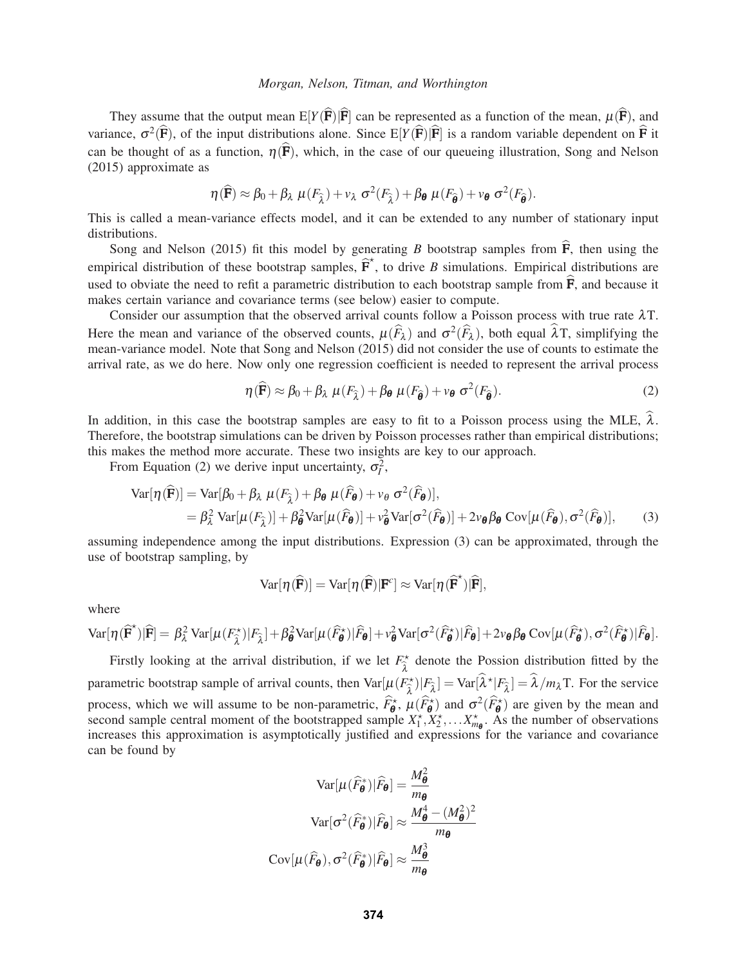They assume that the output mean  $E[Y(\mathbf{F})|\mathbf{F}]$  can be represented as a function of the mean,  $\mu(\mathbf{F})$ , and variance,  $\sigma^2(\mathbf{\hat{F}})$ , of the input distributions alone. Since  $E[Y(\mathbf{\hat{F}})|\mathbf{\hat{F}}]$  is a random variable dependent on  $\mathbf{\hat{F}}$  it can be thought of as a function,  $\eta(F)$ , which, in the case of our queueing illustration, Song and Nelson (2015) approximate as

$$
\eta(\widehat{\mathbf{F}}) \approx \beta_0 + \beta_\lambda \mu(F_{\widehat{\lambda}}) + v_\lambda \sigma^2(F_{\widehat{\lambda}}) + \beta_\theta \mu(F_{\widehat{\theta}}) + v_\theta \sigma^2(F_{\widehat{\theta}}).
$$

This is called a mean-variance effects model, and it can be extended to any number of stationary input distributions.

Song and Nelson (2015) fit this model by generating *B* bootstrap samples from **F**, then using the empirical distribution of these bootstrap samples,  $\hat{\mathbf{F}}^*$ , to drive *B* simulations. Empirical distributions are used to obviate the need to refit a parametric distribution to each bootstrap sample from  $F$ , and because it makes certain variance and covariance terms (see below) easier to compute.

Consider our assumption that the observed arrival counts follow a Poisson process with true rate  $\lambda$ T. Here the mean and variance of the observed counts,  $\mu(\widehat{F}_{\lambda})$  and  $\sigma^2(\widehat{F}_{\lambda})$ , both equal  $\widehat{\lambda}$ T, simplifying the mean-variance model. Note that Song and Nelson (2015) did not consider the use of counts to estimate the arrival rate, as we do here. Now only one regression coefficient is needed to represent the arrival process

$$
\eta(\widehat{\mathbf{F}}) \approx \beta_0 + \beta_\lambda \ \mu(F_{\widehat{\lambda}}) + \beta_\theta \ \mu(F_{\widehat{\theta}}) + \nu_\theta \ \sigma^2(F_{\widehat{\theta}}). \tag{2}
$$

In addition, in this case the bootstrap samples are easy to fit to a Poisson process using the MLE,  $\lambda$ . Therefore, the bootstrap simulations can be driven by Poisson processes rather than empirical distributions; this makes the method more accurate. These two insights are key to our approach.

From Equation (2) we derive input uncertainty,  $\sigma_l^2$ ,

$$
\begin{split} \text{Var}[\eta(\widehat{\mathbf{F}})] &= \text{Var}[\beta_0 + \beta_\lambda \ \mu(F_{\widehat{\lambda}}) + \beta_\theta \ \mu(\widehat{F}_\theta) + v_\theta \ \sigma^2(\widehat{F}_\theta)], \\ &= \beta_\lambda^2 \ \text{Var}[\mu(F_{\widehat{\lambda}})] + \beta_\theta^2 \text{Var}[\mu(\widehat{F}_\theta)] + v_\theta^2 \text{Var}[\sigma^2(\widehat{F}_\theta)] + 2v_\theta \beta_\theta \ \text{Cov}[\mu(\widehat{F}_\theta), \sigma^2(\widehat{F}_\theta)], \end{split} \tag{3}
$$

assuming independence among the input distributions. Expression (3) can be approximated, through the use of bootstrap sampling, by

$$
\text{Var}[\boldsymbol{\eta}(\widehat{\mathbf{F}})] = \text{Var}[\boldsymbol{\eta}(\widehat{\mathbf{F}})|\mathbf{F}^{\text{c}}] \approx \text{Var}[\boldsymbol{\eta}(\widehat{\mathbf{F}}^{\star})|\widehat{\mathbf{F}}],
$$

where

$$
\text{Var}[\eta(\widehat{\mathbf{F}}^{\star})|\widehat{\mathbf{F}}] = \beta_{\lambda}^{2} \text{Var}[\mu(F_{\widehat{\lambda}}^{\star})|F_{\widehat{\lambda}}] + \beta_{\theta}^{2} \text{Var}[\mu(\widehat{F}_{\theta}^{\star})|\widehat{F}_{\theta}] + \nu_{\theta}^{2} \text{Var}[\sigma^{2}(\widehat{F}_{\theta}^{\star})|\widehat{F}_{\theta}] + 2\nu_{\theta}\beta_{\theta} \text{Cov}[\mu(\widehat{F}_{\theta}^{\star}), \sigma^{2}(\widehat{F}_{\theta}^{\star})|\widehat{F}_{\theta}].
$$

Firstly looking at the arrival distribution, if we let  $F_{\hat{\lambda}}^*$  denote the Possion distribution fitted by the parametric bootstrap sample of arrival counts, then  $\text{Var}[\mu(F_{\hat{\lambda}}^{\star})|F_{\hat{\lambda}}] = \text{Var}[\hat{\lambda}^{\star}|F_{\hat{\lambda}}] = \hat{\lambda}/m_{\lambda}T$ . For the service process, which we will assume to be non-parametric,  $\hat{F}_{\theta}^{\star}$ ,  $\mu(\hat{F}_{\theta}^{\star})$  and  $\sigma^2(\hat{F}_{\theta}^{\star})$  are given by the mean and second sample central moment of the bootstrapped sample  $X_1^*, X_2^*, \ldots X_{m_0}^*$ . As the number of observations increases this approximation is asymptotically justified and expressions for the variance and covariance can be found by

$$
\text{Var}[\mu(\widehat{F}_{\theta}^{*})|\widehat{F}_{\theta}] = \frac{M_{\theta}^{2}}{m_{\theta}}
$$

$$
\text{Var}[\sigma^{2}(\widehat{F}_{\theta}^{*})|\widehat{F}_{\theta}] \approx \frac{M_{\theta}^{4} - (M_{\theta}^{2})^{2}}{m_{\theta}}
$$

$$
\text{Cov}[\mu(\widehat{F}_{\theta}), \sigma^{2}(\widehat{F}_{\theta}^{*})|\widehat{F}_{\theta}] \approx \frac{M_{\theta}^{3}}{m_{\theta}}
$$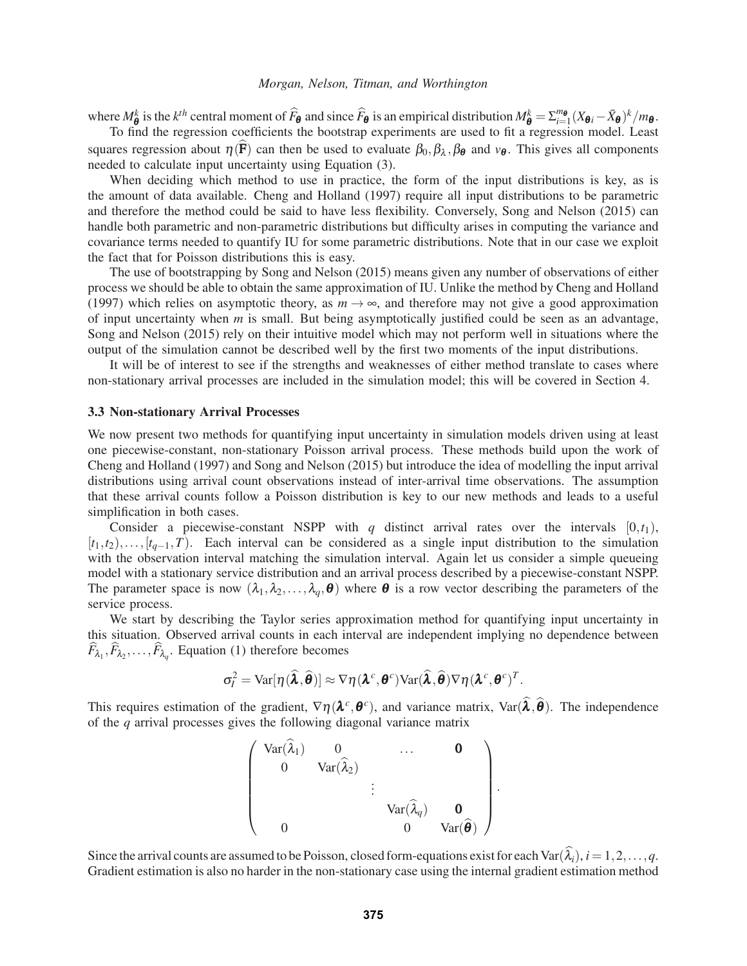where  $M_{\theta}^{k}$  is the  $k^{th}$  central moment of  $\widehat{F}_{\theta}$  and since  $\widehat{F}_{\theta}$  is an empirical distribution  $M_{\theta}^{k} = \sum_{i=1}^{m_{\theta}} (X_{\theta} - \bar{X}_{\theta})^{k} / m_{\theta}$ .

To find the regression coefficients the bootstrap experiments are used to fit a regression model. Least squares regression about  $\eta$ (**F**) can then be used to evaluate  $\beta_0$ ,  $\beta_\lambda$ ,  $\beta_\theta$  and  $\nu_\theta$ . This gives all components needed to calculate input uncertainty using Equation (3).

When deciding which method to use in practice, the form of the input distributions is key, as is the amount of data available. Cheng and Holland (1997) require all input distributions to be parametric and therefore the method could be said to have less flexibility. Conversely, Song and Nelson (2015) can handle both parametric and non-parametric distributions but difficulty arises in computing the variance and covariance terms needed to quantify IU for some parametric distributions. Note that in our case we exploit the fact that for Poisson distributions this is easy.

The use of bootstrapping by Song and Nelson (2015) means given any number of observations of either process we should be able to obtain the same approximation of IU. Unlike the method by Cheng and Holland (1997) which relies on asymptotic theory, as  $m \to \infty$ , and therefore may not give a good approximation of input uncertainty when *m* is small. But being asymptotically justified could be seen as an advantage, Song and Nelson (2015) rely on their intuitive model which may not perform well in situations where the output of the simulation cannot be described well by the first two moments of the input distributions.

It will be of interest to see if the strengths and weaknesses of either method translate to cases where non-stationary arrival processes are included in the simulation model; this will be covered in Section 4.

#### 3.3 Non-stationary Arrival Processes

We now present two methods for quantifying input uncertainty in simulation models driven using at least one piecewise-constant, non-stationary Poisson arrival process. These methods build upon the work of Cheng and Holland (1997) and Song and Nelson (2015) but introduce the idea of modelling the input arrival distributions using arrival count observations instead of inter-arrival time observations. The assumption that these arrival counts follow a Poisson distribution is key to our new methods and leads to a useful simplification in both cases.

Consider a piecewise-constant NSPP with  $q$  distinct arrival rates over the intervals  $[0, t_1)$ , [*t*1,*t*2),...,[*tq*−1,*T*). Each interval can be considered as a single input distribution to the simulation with the observation interval matching the simulation interval. Again let us consider a simple queueing model with a stationary service distribution and an arrival process described by a piecewise-constant NSPP. The parameter space is now  $(\lambda_1, \lambda_2, ..., \lambda_q, \theta)$  where  $\theta$  is a row vector describing the parameters of the service process.

We start by describing the Taylor series approximation method for quantifying input uncertainty in this situation. Observed arrival counts in each interval are independent implying no dependence between  $F_{\lambda_1}, F_{\lambda_2}, \ldots, F_{\lambda_q}$ . Equation (1) therefore becomes

$$
\sigma_I^2 = \text{Var}[\eta(\widehat{\boldsymbol{\lambda}}, \widehat{\boldsymbol{\theta}})] \approx \nabla \eta(\boldsymbol{\lambda}^c, \boldsymbol{\theta}^c) \text{Var}(\widehat{\boldsymbol{\lambda}}, \widehat{\boldsymbol{\theta}}) \nabla \eta(\boldsymbol{\lambda}^c, \boldsymbol{\theta}^c)^T.
$$

This requires estimation of the gradient,  $\nabla \eta(\lambda^c, \theta^c)$ , and variance matrix,  $\text{Var}(\lambda, \hat{\theta})$ . The independence of the *q* arrival processes gives the following diagonal variance matrix

$$
\left(\begin{array}{cccc}\n\text{Var}(\widehat{\lambda}_1) & 0 & \dots & \mathbf{0} \\
0 & \text{Var}(\widehat{\lambda}_2) & & \\
& \vdots & & \\
& & \text{Var}(\widehat{\lambda}_q) & \mathbf{0} \\
0 & 0 & \text{Var}(\widehat{\boldsymbol{\theta}})\n\end{array}\right)
$$

.

Since the arrival counts are assumed to be Poisson, closed form-equations exist for each Var $(\lambda_i)$ ,  $i = 1, 2, ..., q$ . Gradient estimation is also no harder in the non-stationary case using the internal gradient estimation method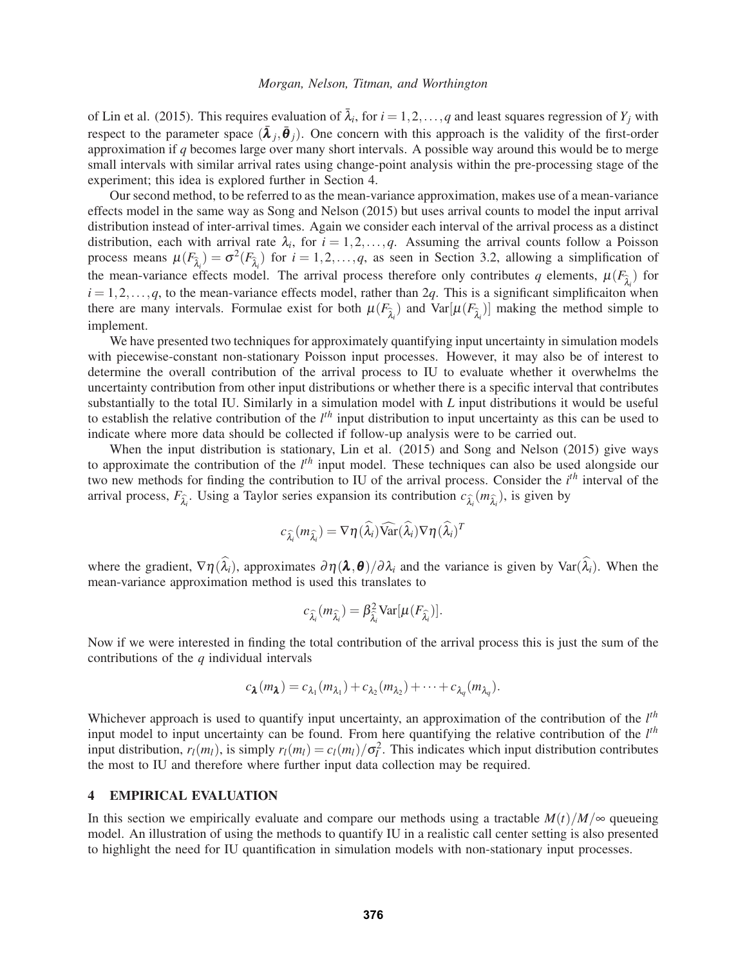of Lin et al. (2015). This requires evaluation of  $\bar{\lambda}_i$ , for  $i = 1, 2, ..., q$  and least squares regression of  $Y_j$  with respect to the parameter space  $(\bar{\lambda}_j, \bar{\theta}_j)$ . One concern with this approach is the validity of the first-order approximation if *q* becomes large over many short intervals. A possible way around this would be to merge small intervals with similar arrival rates using change-point analysis within the pre-processing stage of the experiment; this idea is explored further in Section 4.

Our second method, to be referred to as the mean-variance approximation, makes use of a mean-variance effects model in the same way as Song and Nelson (2015) but uses arrival counts to model the input arrival distribution instead of inter-arrival times. Again we consider each interval of the arrival process as a distinct distribution, each with arrival rate  $\lambda_i$ , for  $i = 1, 2, ..., q$ . Assuming the arrival counts follow a Poisson process means  $\mu(F_{\widehat{\lambda}_i}) = \sigma^2(F_{\widehat{\lambda}_i})$  for  $i = 1, 2, ..., q$ , as seen in Section 3.2, allowing a simplification of the mean-variance effects model. The arrival process therefore only contributes *q* elements,  $\mu(F_{\hat{\lambda}_i})$  for  $i = 1, 2, \ldots, q$ , to the mean-variance effects model, rather than 2*q*. This is a significant simplificaiton when there are many intervals. Formulae exist for both  $\mu(F_{\widehat{\lambda}_i})$  and  $Var[\mu(F_{\widehat{\lambda}_i})]$  making the method simple to implement.

We have presented two techniques for approximately quantifying input uncertainty in simulation models with piecewise-constant non-stationary Poisson input processes. However, it may also be of interest to determine the overall contribution of the arrival process to IU to evaluate whether it overwhelms the uncertainty contribution from other input distributions or whether there is a specific interval that contributes substantially to the total IU. Similarly in a simulation model with *L* input distributions it would be useful to establish the relative contribution of the *l th* input distribution to input uncertainty as this can be used to indicate where more data should be collected if follow-up analysis were to be carried out.

When the input distribution is stationary, Lin et al. (2015) and Song and Nelson (2015) give ways to approximate the contribution of the *l th* input model. These techniques can also be used alongside our two new methods for finding the contribution to IU of the arrival process. Consider the *i th* interval of the arrival process,  $F_{\hat{\lambda}_i}$ . Using a Taylor series expansion its contribution  $c_{\hat{\lambda}_i}(m_{\hat{\lambda}_i})$ , is given by

$$
c_{\widehat{\lambda}_i}(m_{\widehat{\lambda}_i}) = \nabla \eta(\widehat{\lambda}_i) \widehat{\text{Var}}(\widehat{\lambda}_i) \nabla \eta(\widehat{\lambda}_i)^T
$$

where the gradient,  $\nabla \eta(\lambda_i)$ , approximates  $\partial \eta(\lambda, \theta)/\partial \lambda_i$  and the variance is given by Var $(\lambda_i)$ . When the mean-variance approximation method is used this translates to

$$
c_{\widehat{\lambda}_i}(m_{\widehat{\lambda}_i}) = \beta_{\widehat{\lambda}_i}^2 \text{Var}[\mu(F_{\widehat{\lambda}_i})].
$$

Now if we were interested in finding the total contribution of the arrival process this is just the sum of the contributions of the *q* individual intervals

$$
c_{\lambda}(m_{\lambda})=c_{\lambda_1}(m_{\lambda_1})+c_{\lambda_2}(m_{\lambda_2})+\cdots+c_{\lambda_q}(m_{\lambda_q}).
$$

Whichever approach is used to quantify input uncertainty, an approximation of the contribution of the *l th* input model to input uncertainty can be found. From here quantifying the relative contribution of the *l th* input distribution,  $r_l(m_l)$ , is simply  $r_l(m_l) = c_l(m_l)/\sigma_l^2$ . This indicates which input distribution contributes the most to IU and therefore where further input data collection may be required.

### 4 EMPIRICAL EVALUATION

In this section we empirically evaluate and compare our methods using a tractable  $M(t)/M/\infty$  queueing model. An illustration of using the methods to quantify IU in a realistic call center setting is also presented to highlight the need for IU quantification in simulation models with non-stationary input processes.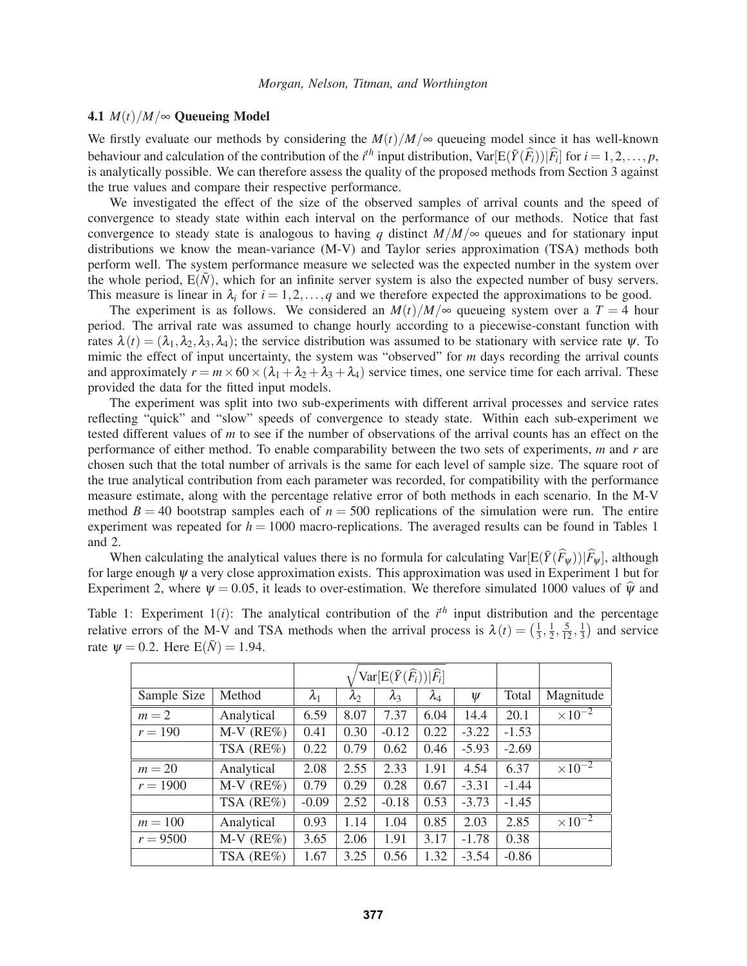## 4.1  $M(t)/M/\infty$  Queueing Model

We firstly evaluate our methods by considering the  $M(t)/M/\infty$  queueing model since it has well-known behaviour and calculation of the contribution of the *i*<sup>th</sup> input distribution,  $\text{Var}[E(\bar{Y}(\hat{F}_i))|\hat{F}_i]$  for  $i = 1, 2, ..., p$ , is analytically possible. We can therefore assess the quality of the proposed methods from Section 3 against the true values and compare their respective performance.

We investigated the effect of the size of the observed samples of arrival counts and the speed of convergence to steady state within each interval on the performance of our methods. Notice that fast convergence to steady state is analogous to having *q* distinct  $M/M/\infty$  queues and for stationary input distributions we know the mean-variance (M-V) and Taylor series approximation (TSA) methods both perform well. The system performance measure we selected was the expected number in the system over the whole period,  $E(\bar{N})$ , which for an infinite server system is also the expected number of busy servers. This measure is linear in  $\lambda_i$  for  $i = 1, 2, \ldots, q$  and we therefore expected the approximations to be good.

The experiment is as follows. We considered an  $M(t)/M/\infty$  queueing system over a  $T = 4$  hour period. The arrival rate was assumed to change hourly according to a piecewise-constant function with rates  $\lambda(t)=(\lambda_1,\lambda_2,\lambda_3,\lambda_4)$ ; the service distribution was assumed to be stationary with service rate  $\psi$ . To mimic the effect of input uncertainty, the system was "observed" for *m* days recording the arrival counts and approximately  $r = m \times 60 \times (\lambda_1 + \lambda_2 + \lambda_3 + \lambda_4)$  service times, one service time for each arrival. These provided the data for the fitted input models.

The experiment was split into two sub-experiments with different arrival processes and service rates reflecting "quick" and "slow" speeds of convergence to steady state. Within each sub-experiment we tested different values of *m* to see if the number of observations of the arrival counts has an effect on the performance of either method. To enable comparability between the two sets of experiments, *m* and *r* are chosen such that the total number of arrivals is the same for each level of sample size. The square root of the true analytical contribution from each parameter was recorded, for compatibility with the performance measure estimate, along with the percentage relative error of both methods in each scenario. In the M-V method  $B = 40$  bootstrap samples each of  $n = 500$  replications of the simulation were run. The entire experiment was repeated for  $h = 1000$  macro-replications. The averaged results can be found in Tables 1 and 2.

When calculating the analytical values there is no formula for calculating  $Var[E(\bar{F}(\hat{F}_{\psi}))|\hat{F}_{\psi}]$ , although for large enough  $\psi$  a very close approximation exists. This approximation was used in Experiment 1 but for Experiment 2, where  $\psi = 0.05$ , it leads to over-estimation. We therefore simulated 1000 values of  $\hat{\psi}$  and

| Table 1: Experiment $1(i)$ : The analytical contribution of the $ith$ input distribution and the percentage                                             |  |  |  |  |  |  |  |
|---------------------------------------------------------------------------------------------------------------------------------------------------------|--|--|--|--|--|--|--|
| relative errors of the M-V and TSA methods when the arrival process is $\lambda(t) = (\frac{1}{3}, \frac{1}{2}, \frac{5}{12}, \frac{1}{3})$ and service |  |  |  |  |  |  |  |
| rate $\Psi = 0.2$ . Here $E(\bar{N}) = 1.94$ .                                                                                                          |  |  |  |  |  |  |  |

|             |             | $Var[E(\bar{Y}(\widehat{F}_i)) \widehat{F}_i]$ |             |             |             |         |         |                             |
|-------------|-------------|------------------------------------------------|-------------|-------------|-------------|---------|---------|-----------------------------|
| Sample Size | Method      |                                                | $\lambda_2$ | $\lambda_3$ | $\lambda_4$ | $\psi$  | Total   | Magnitude                   |
| $m=2$       | Analytical  | 6.59                                           | 8.07        | 7.37        | 6.04        | 14.4    | 20.1    | $\times \overline{10^{-2}}$ |
| $r = 190$   | $M-V$ (RE%) | 0.41                                           | 0.30        | $-0.12$     | 0.22        | $-3.22$ | $-1.53$ |                             |
|             | TSA (RE%)   | 0.22                                           | 0.79        | 0.62        | 0.46        | $-5.93$ | $-2.69$ |                             |
| $m = 20$    | Analytical  | 2.08                                           | 2.55        | 2.33        | 1.91        | 4.54    | 6.37    | $\times 10^{-2}$            |
| $r = 1900$  | $M-V$ (RE%) | 0.79                                           | 0.29        | 0.28        | 0.67        | $-3.31$ | $-1.44$ |                             |
|             | TSA (RE%)   | $-0.09$                                        | 2.52        | $-0.18$     | 0.53        | $-3.73$ | $-1.45$ |                             |
| $m = 100$   | Analytical  | 0.93                                           | 1.14        | 1.04        | 0.85        | 2.03    | 2.85    | $\times 10^{-2}$            |
| $r = 9500$  | $M-V$ (RE%) | 3.65                                           | 2.06        | 1.91        | 3.17        | $-1.78$ | 0.38    |                             |
|             | TSA (RE%)   | 1.67                                           | 3.25        | 0.56        | 1.32        | $-3.54$ | $-0.86$ |                             |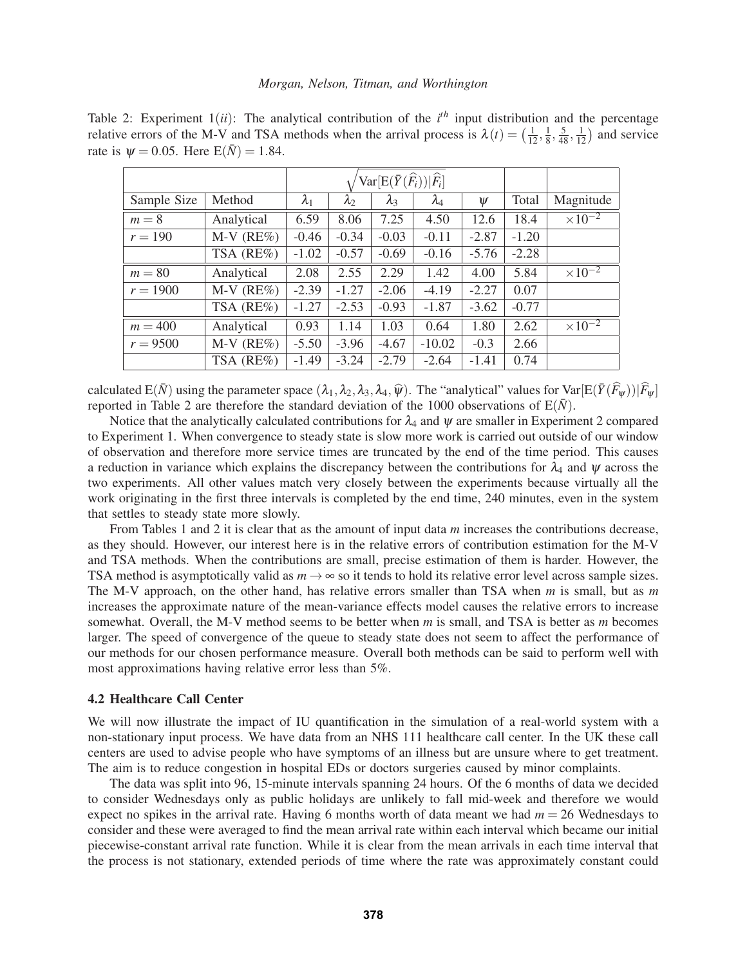Table 2: Experiment  $1(ii)$ : The analytical contribution of the  $i<sup>th</sup>$  input distribution and the percentage relative errors of the M-V and TSA methods when the arrival process is  $\lambda(t) = \left(\frac{1}{12}, \frac{1}{8}, \frac{5}{48}, \frac{1}{12}\right)$  and service rate is  $\psi = 0.05$ . Here  $E(\bar{N}) = 1.84$ .

|             |             | $Var[E(\bar{Y}(\widehat{F}_i)) \widehat{F}_i]$ |             |             |             |         |         |                  |
|-------------|-------------|------------------------------------------------|-------------|-------------|-------------|---------|---------|------------------|
| Sample Size | Method      |                                                | $\lambda_2$ | $\lambda_3$ | $\lambda_4$ | $\psi$  | Total   | Magnitude        |
| $m=8$       | Analytical  | 6.59                                           | 8.06        | 7.25        | 4.50        | 12.6    | 18.4    | $\times 10^{-2}$ |
| $r = 190$   | $M-V$ (RE%) | $-0.46$                                        | $-0.34$     | $-0.03$     | $-0.11$     | $-2.87$ | $-1.20$ |                  |
|             | TSA (RE%)   | $-1.02$                                        | $-0.57$     | $-0.69$     | $-0.16$     | $-5.76$ | $-2.28$ |                  |
| $m = 80$    | Analytical  | 2.08                                           | 2.55        | 2.29        | 1.42        | 4.00    | 5.84    | $\times 10^{-2}$ |
| $r = 1900$  | $M-V$ (RE%) | $-2.39$                                        | $-1.27$     | $-2.06$     | $-4.19$     | $-2.27$ | 0.07    |                  |
|             | TSA (RE%)   | $-1.27$                                        | $-2.53$     | $-0.93$     | $-1.87$     | $-3.62$ | $-0.77$ |                  |
| $m = 400$   | Analytical  | 0.93                                           | 1.14        | 1.03        | 0.64        | 1.80    | 2.62    | $\times 10^{-2}$ |
| $r = 9500$  | $M-V$ (RE%) | $-5.50$                                        | $-3.96$     | $-4.67$     | $-10.02$    | $-0.3$  | 2.66    |                  |
|             | TSA (RE%)   | $-1.49$                                        | $-3.24$     | $-2.79$     | $-2.64$     | $-1.41$ | 0.74    |                  |

calculated  $E(\bar{N})$  using the parameter space  $(\lambda_1, \lambda_2, \lambda_3, \lambda_4, \hat{\psi})$ . The "analytical" values for  $Var[E(\bar{Y}(\hat{F}_{\psi}))|\hat{F}_{\psi}]$ reported in Table 2 are therefore the standard deviation of the 1000 observations of  $E(\bar{N})$ .

Notice that the analytically calculated contributions for  $\lambda_4$  and  $\psi$  are smaller in Experiment 2 compared to Experiment 1. When convergence to steady state is slow more work is carried out outside of our window of observation and therefore more service times are truncated by the end of the time period. This causes a reduction in variance which explains the discrepancy between the contributions for  $\lambda_4$  and  $\psi$  across the two experiments. All other values match very closely between the experiments because virtually all the work originating in the first three intervals is completed by the end time, 240 minutes, even in the system that settles to steady state more slowly.

From Tables 1 and 2 it is clear that as the amount of input data *m* increases the contributions decrease, as they should. However, our interest here is in the relative errors of contribution estimation for the M-V and TSA methods. When the contributions are small, precise estimation of them is harder. However, the TSA method is asymptotically valid as  $m \to \infty$  so it tends to hold its relative error level across sample sizes. The M-V approach, on the other hand, has relative errors smaller than TSA when *m* is small, but as *m* increases the approximate nature of the mean-variance effects model causes the relative errors to increase somewhat. Overall, the M-V method seems to be better when *m* is small, and TSA is better as *m* becomes larger. The speed of convergence of the queue to steady state does not seem to affect the performance of our methods for our chosen performance measure. Overall both methods can be said to perform well with most approximations having relative error less than 5%.

### 4.2 Healthcare Call Center

We will now illustrate the impact of IU quantification in the simulation of a real-world system with a non-stationary input process. We have data from an NHS 111 healthcare call center. In the UK these call centers are used to advise people who have symptoms of an illness but are unsure where to get treatment. The aim is to reduce congestion in hospital EDs or doctors surgeries caused by minor complaints.

The data was split into 96, 15-minute intervals spanning 24 hours. Of the 6 months of data we decided to consider Wednesdays only as public holidays are unlikely to fall mid-week and therefore we would expect no spikes in the arrival rate. Having 6 months worth of data meant we had  $m = 26$  Wednesdays to consider and these were averaged to find the mean arrival rate within each interval which became our initial piecewise-constant arrival rate function. While it is clear from the mean arrivals in each time interval that the process is not stationary, extended periods of time where the rate was approximately constant could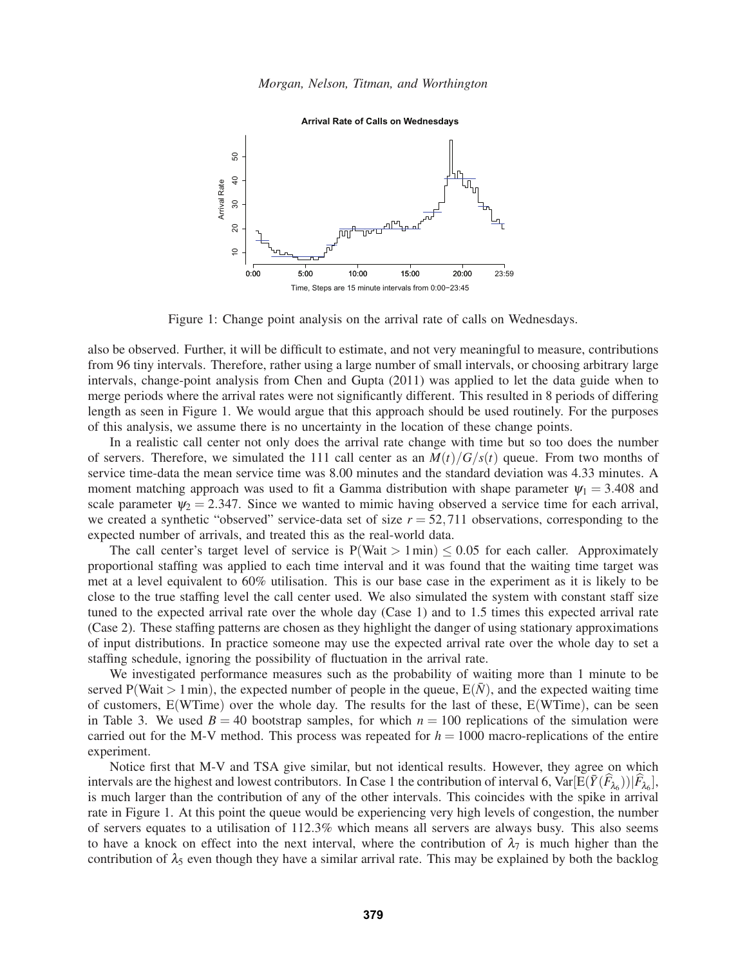

**Arrival Rate of Calls on Wednesdays**

Figure 1: Change point analysis on the arrival rate of calls on Wednesdays.

also be observed. Further, it will be difficult to estimate, and not very meaningful to measure, contributions from 96 tiny intervals. Therefore, rather using a large number of small intervals, or choosing arbitrary large intervals, change-point analysis from Chen and Gupta (2011) was applied to let the data guide when to merge periods where the arrival rates were not significantly different. This resulted in 8 periods of differing length as seen in Figure 1. We would argue that this approach should be used routinely. For the purposes of this analysis, we assume there is no uncertainty in the location of these change points.

In a realistic call center not only does the arrival rate change with time but so too does the number of servers. Therefore, we simulated the 111 call center as an  $M(t)/G/s(t)$  queue. From two months of service time-data the mean service time was 8.00 minutes and the standard deviation was 4.33 minutes. A moment matching approach was used to fit a Gamma distribution with shape parameter  $\psi_1 = 3.408$  and scale parameter  $\psi_2 = 2.347$ . Since we wanted to mimic having observed a service time for each arrival, we created a synthetic "observed" service-data set of size  $r = 52,711$  observations, corresponding to the expected number of arrivals, and treated this as the real-world data.

The call center's target level of service is  $P(Wait > 1 min) \le 0.05$  for each caller. Approximately proportional staffing was applied to each time interval and it was found that the waiting time target was met at a level equivalent to 60% utilisation. This is our base case in the experiment as it is likely to be close to the true staffing level the call center used. We also simulated the system with constant staff size tuned to the expected arrival rate over the whole day (Case 1) and to 1.5 times this expected arrival rate (Case 2). These staffing patterns are chosen as they highlight the danger of using stationary approximations of input distributions. In practice someone may use the expected arrival rate over the whole day to set a staffing schedule, ignoring the possibility of fluctuation in the arrival rate.

We investigated performance measures such as the probability of waiting more than 1 minute to be served P(Wait  $> 1$  min), the expected number of people in the queue,  $E(\overline{N})$ , and the expected waiting time of customers, E(WTime) over the whole day. The results for the last of these, E(WTime), can be seen in Table 3. We used  $B = 40$  bootstrap samples, for which  $n = 100$  replications of the simulation were carried out for the M-V method. This process was repeated for  $h = 1000$  macro-replications of the entire experiment.

Notice first that M-V and TSA give similar, but not identical results. However, they agree on which intervals are the highest and lowest contributors. In Case 1 the contribution of interval 6,  $Var[E(\bar{Y}(\hat{F}_{\lambda_6}))|\hat{F}_{\lambda_6}]$ , is much larger than the contribution of any of the other intervals. This coincides with the spike in arrival rate in Figure 1. At this point the queue would be experiencing very high levels of congestion, the number of servers equates to a utilisation of 112.3% which means all servers are always busy. This also seems to have a knock on effect into the next interval, where the contribution of  $\lambda_7$  is much higher than the contribution of  $\lambda_5$  even though they have a similar arrival rate. This may be explained by both the backlog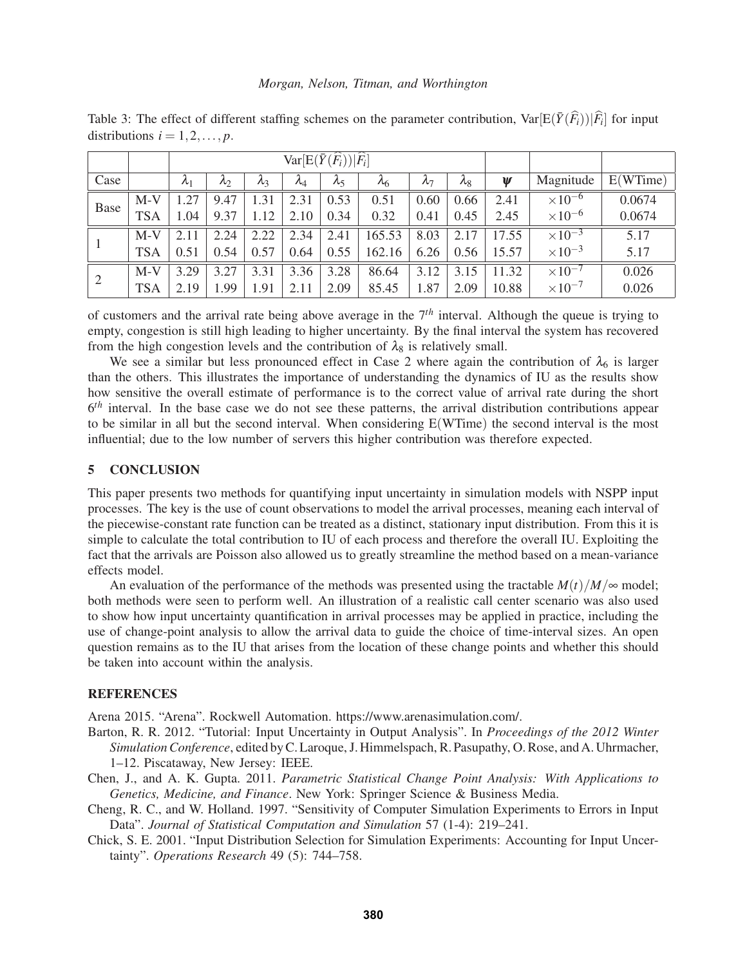|      |            | $Var[E(\bar{Y}(\widehat{F}_i)) \widehat{F}_i]$ |             |             |                 |             |                 |                   |             |       |                  |          |
|------|------------|------------------------------------------------|-------------|-------------|-----------------|-------------|-----------------|-------------------|-------------|-------|------------------|----------|
| Case |            | $\lambda_1$                                    | $\lambda_2$ | $\lambda_3$ | $\mathcal{M}_4$ | $\lambda_5$ | $\mathcal{A}_6$ | $\mathcal{N}_{7}$ | $\lambda_8$ | W     | Magnitude        | E(WTime) |
| Base | $M-V$      | 1.27                                           | 9.47        | 1.31        | 2.31            | 0.53        | 0.51            | 0.60              | 0.66        | 2.41  | $\times 10^{-6}$ | 0.0674   |
|      | <b>TSA</b> | 1.04                                           | 9.37        | 1.12        | 2.10            | 0.34        | 0.32            | 0.41              | 0.45        | 2.45  | $\times 10^{-6}$ | 0.0674   |
|      | $M-V$      | 2.11                                           | 2.24        | 2.22        | 2.34            | 2.41        | 165.53          | 8.03              | 2.17        | 17.55 | $\times 10^{-3}$ | 5.17     |
|      | <b>TSA</b> | 0.51                                           | 0.54        | 0.57        | 0.64            | 0.55        | 162.16          | 6.26              | 0.56        | 15.57 | $\times 10^{-3}$ | 5.17     |
| 2    | $M-V$      | 3.29                                           | 3.27        | 3.31        | 3.36            | 3.28        | 86.64           | 3.12              | 3.15        | 11.32 | $\times 10^{-7}$ | 0.026    |
|      | <b>TSA</b> | 2.19                                           | 1.99        | 1.91        | 2.11            | 2.09        | 85.45           | 1.87              | 2.09        | 10.88 | $\times 10^{-7}$ | 0.026    |

Table 3: The effect of different staffing schemes on the parameter contribution,  $Var[E(\bar{Y}(\hat{F}_i))|\hat{F}_i]$  for input distributions  $i = 1, 2, \ldots, p$ .

of customers and the arrival rate being above average in the 7*th* interval. Although the queue is trying to empty, congestion is still high leading to higher uncertainty. By the final interval the system has recovered from the high congestion levels and the contribution of  $\lambda_8$  is relatively small.

We see a similar but less pronounced effect in Case 2 where again the contribution of  $\lambda_6$  is larger than the others. This illustrates the importance of understanding the dynamics of IU as the results show how sensitive the overall estimate of performance is to the correct value of arrival rate during the short 6*th* interval. In the base case we do not see these patterns, the arrival distribution contributions appear to be similar in all but the second interval. When considering E(WTime) the second interval is the most influential; due to the low number of servers this higher contribution was therefore expected.

### 5 CONCLUSION

This paper presents two methods for quantifying input uncertainty in simulation models with NSPP input processes. The key is the use of count observations to model the arrival processes, meaning each interval of the piecewise-constant rate function can be treated as a distinct, stationary input distribution. From this it is simple to calculate the total contribution to IU of each process and therefore the overall IU. Exploiting the fact that the arrivals are Poisson also allowed us to greatly streamline the method based on a mean-variance effects model.

An evaluation of the performance of the methods was presented using the tractable  $M(t)/M/\infty$  model; both methods were seen to perform well. An illustration of a realistic call center scenario was also used to show how input uncertainty quantification in arrival processes may be applied in practice, including the use of change-point analysis to allow the arrival data to guide the choice of time-interval sizes. An open question remains as to the IU that arises from the location of these change points and whether this should be taken into account within the analysis.

## **REFERENCES**

Arena 2015. "Arena". Rockwell Automation. https://www.arenasimulation.com/.

- Barton, R. R. 2012. "Tutorial: Input Uncertainty in Output Analysis". In *Proceedings of the 2012 Winter Simulation Conference*, edited by C. Laroque, J. Himmelspach, R. Pasupathy, O. Rose, and A. Uhrmacher, 1–12. Piscataway, New Jersey: IEEE.
- Chen, J., and A. K. Gupta. 2011. *Parametric Statistical Change Point Analysis: With Applications to Genetics, Medicine, and Finance*. New York: Springer Science & Business Media.
- Cheng, R. C., and W. Holland. 1997. "Sensitivity of Computer Simulation Experiments to Errors in Input Data". *Journal of Statistical Computation and Simulation* 57 (1-4): 219–241.
- Chick, S. E. 2001. "Input Distribution Selection for Simulation Experiments: Accounting for Input Uncertainty". *Operations Research* 49 (5): 744–758.